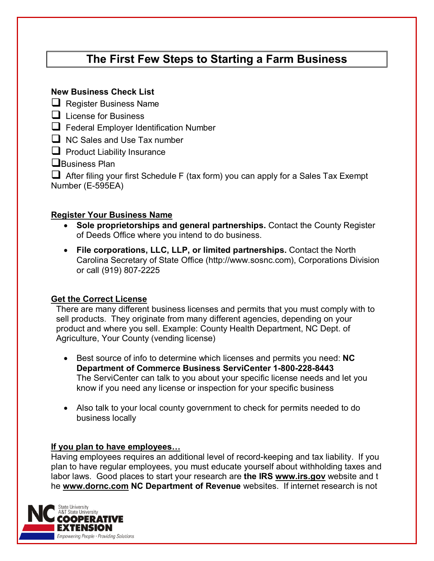# **The First Few Steps to Starting a Farm Business**

## **New Business Check List**

 $\Box$  Register Business Name

- $\Box$  License for Business
- **T** Federal Employer Identification Number

 $\Box$  NC Sales and Use Tax number

 $\Box$  Product Liability Insurance

**Q**Business Plan

 $\Box$  After filing your first Schedule F (tax form) you can apply for a Sales Tax Exempt Number (E-595EA)

## **Register Your Business Name**

- **Sole proprietorships and general partnerships.** Contact the County Register of Deeds Office where you intend to do business.
- **File corporations, LLC, LLP, or limited partnerships.** Contact the North Carolina Secretary of State Office (http://www.sosnc.com), Corporations Division or call (919) 807-2225

## **Get the Correct License**

There are many different business licenses and permits that you must comply with to sell products. They originate from many different agencies, depending on your product and where you sell. Example: County Health Department, NC Dept. of Agriculture, Your County (vending license)

- Best source of info to determine which licenses and permits you need: **NC Department of Commerce Business ServiCenter 1-800-228-8443** The ServiCenter can talk to you about your specific license needs and let you know if you need any license or inspection for your specific business
- Also talk to your local county government to check for permits needed to do business locally

## **If you plan to have employees…**

Having employees requires an additional level of record-keeping and tax liability. If you plan to have regular employees, you must educate yourself about withholding taxes and labor laws. Good places to start your research are **the IRS www.irs.gov** website and t he **[www.dornc.com](http://www.dornc.com/) NC Department of Revenue** websites. If internet research is not